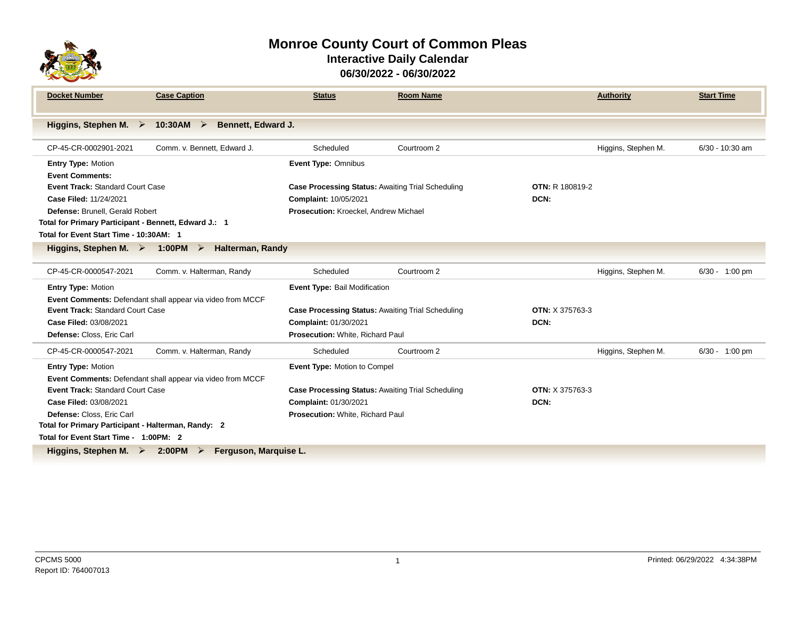

### **Monroe County Court of Common Pleas Interactive Daily Calendar 06/30/2022 - 06/30/2022**

| <b>Docket Number</b>                                                                    | <b>Case Caption</b>                                        | <b>Status</b>                                            | <b>Room Name</b> |                        | <b>Authority</b>    | <b>Start Time</b> |  |  |
|-----------------------------------------------------------------------------------------|------------------------------------------------------------|----------------------------------------------------------|------------------|------------------------|---------------------|-------------------|--|--|
| Higgins, Stephen M. $\triangleright$                                                    | 10:30AM $\triangleright$<br><b>Bennett, Edward J.</b>      |                                                          |                  |                        |                     |                   |  |  |
|                                                                                         |                                                            |                                                          |                  |                        |                     |                   |  |  |
| CP-45-CR-0002901-2021                                                                   | Comm. v. Bennett, Edward J.                                | Scheduled                                                | Courtroom 2      |                        | Higgins, Stephen M. | 6/30 - 10:30 am   |  |  |
| <b>Entry Type: Motion</b>                                                               |                                                            | <b>Event Type: Omnibus</b>                               |                  |                        |                     |                   |  |  |
| <b>Event Comments:</b>                                                                  |                                                            |                                                          |                  |                        |                     |                   |  |  |
| <b>Event Track: Standard Court Case</b>                                                 |                                                            | <b>Case Processing Status: Awaiting Trial Scheduling</b> |                  | <b>OTN: R 180819-2</b> |                     |                   |  |  |
| Case Filed: 11/24/2021                                                                  |                                                            | Complaint: 10/05/2021                                    |                  | DCN:                   |                     |                   |  |  |
| Defense: Brunell. Gerald Robert                                                         |                                                            | Prosecution: Kroeckel, Andrew Michael                    |                  |                        |                     |                   |  |  |
| Total for Primary Participant - Bennett, Edward J.: 1                                   |                                                            |                                                          |                  |                        |                     |                   |  |  |
| Total for Event Start Time - 10:30AM: 1                                                 |                                                            |                                                          |                  |                        |                     |                   |  |  |
| Higgins, Stephen M. $\triangleright$ 1:00PM $\triangleright$<br><b>Halterman, Randy</b> |                                                            |                                                          |                  |                        |                     |                   |  |  |
| CP-45-CR-0000547-2021                                                                   | Comm. v. Halterman, Randy                                  | Scheduled                                                | Courtroom 2      |                        | Higgins, Stephen M. | $6/30 - 1:00$ pm  |  |  |
| <b>Entry Type: Motion</b>                                                               |                                                            | Event Type: Bail Modification                            |                  |                        |                     |                   |  |  |
|                                                                                         | Event Comments: Defendant shall appear via video from MCCF |                                                          |                  |                        |                     |                   |  |  |
| Event Track: Standard Court Case                                                        |                                                            | <b>Case Processing Status: Awaiting Trial Scheduling</b> |                  | <b>OTN: X 375763-3</b> |                     |                   |  |  |
| Case Filed: 03/08/2021                                                                  |                                                            | Complaint: 01/30/2021                                    |                  | DCN:                   |                     |                   |  |  |
| Defense: Closs, Eric Carl                                                               |                                                            | Prosecution: White, Richard Paul                         |                  |                        |                     |                   |  |  |
| CP-45-CR-0000547-2021                                                                   | Comm. v. Halterman, Randy                                  | Scheduled                                                | Courtroom 2      |                        | Higgins, Stephen M. | $6/30 - 1:00$ pm  |  |  |
| <b>Entry Type: Motion</b>                                                               |                                                            | Event Type: Motion to Compel                             |                  |                        |                     |                   |  |  |
|                                                                                         | Event Comments: Defendant shall appear via video from MCCF |                                                          |                  |                        |                     |                   |  |  |
| <b>Event Track: Standard Court Case</b>                                                 |                                                            | Case Processing Status: Awaiting Trial Scheduling        |                  | <b>OTN: X 375763-3</b> |                     |                   |  |  |
| Case Filed: 03/08/2021                                                                  |                                                            | Complaint: 01/30/2021                                    |                  | DCN:                   |                     |                   |  |  |
| Defense: Closs. Eric Carl                                                               |                                                            | Prosecution: White, Richard Paul                         |                  |                        |                     |                   |  |  |
| Total for Primary Participant - Halterman, Randy: 2                                     |                                                            |                                                          |                  |                        |                     |                   |  |  |
|                                                                                         | Total for Event Start Time - 1:00PM: 2                     |                                                          |                  |                        |                     |                   |  |  |
| Higgins, Stephen M. $\triangleright$<br>2:00PM<br>Ferguson, Marguise L.<br>➤            |                                                            |                                                          |                  |                        |                     |                   |  |  |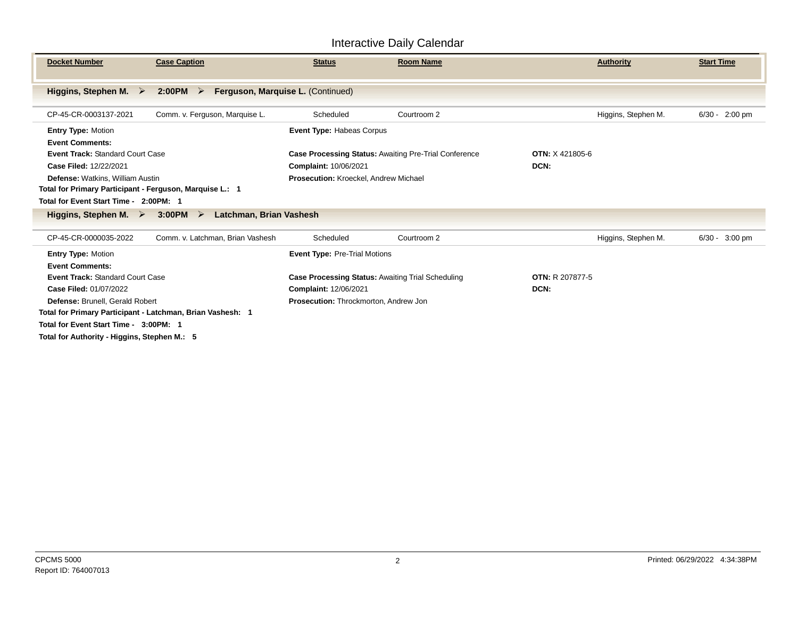| <b>Docket Number</b>                                                                                                                                                                                                                                  | <b>Case Caption</b>                                        | <b>Status</b>                                                                                                                                                      | <b>Room Name</b> |                                | <b>Authority</b>    | <b>Start Time</b>        |
|-------------------------------------------------------------------------------------------------------------------------------------------------------------------------------------------------------------------------------------------------------|------------------------------------------------------------|--------------------------------------------------------------------------------------------------------------------------------------------------------------------|------------------|--------------------------------|---------------------|--------------------------|
| Higgins, Stephen M. $\triangleright$                                                                                                                                                                                                                  | 2:00PM<br>$\triangleright$                                 | Ferguson, Marquise L. (Continued)                                                                                                                                  |                  |                                |                     |                          |
| CP-45-CR-0003137-2021                                                                                                                                                                                                                                 | Comm. v. Ferguson, Marquise L.                             | Scheduled                                                                                                                                                          | Courtroom 2      |                                | Higgins, Stephen M. | $6/30 - 2:00 \text{ pm}$ |
| <b>Entry Type: Motion</b><br><b>Event Comments:</b><br><b>Event Track: Standard Court Case</b><br>Case Filed: 12/22/2021                                                                                                                              |                                                            | Event Type: Habeas Corpus<br><b>OTN: X 421805-6</b><br><b>Case Processing Status: Awaiting Pre-Trial Conference</b><br>Complaint: 10/06/2021<br>DCN:               |                  |                                |                     |                          |
| Defense: Watkins, William Austin<br>Total for Primary Participant - Ferguson, Marquise L.: 1<br>Total for Event Start Time - 2:00PM: 1                                                                                                                |                                                            | Prosecution: Kroeckel, Andrew Michael                                                                                                                              |                  |                                |                     |                          |
| Higgins, Stephen M. $\triangleright$                                                                                                                                                                                                                  | $3:00PM$ $\geq$<br>Latchman, Brian Vashesh                 |                                                                                                                                                                    |                  |                                |                     |                          |
| CP-45-CR-0000035-2022                                                                                                                                                                                                                                 | Comm. v. Latchman, Brian Vashesh                           | Scheduled                                                                                                                                                          | Courtroom 2      |                                | Higgins, Stephen M. | $6/30 -$<br>$3:00$ pm    |
| <b>Entry Type: Motion</b><br><b>Event Comments:</b><br><b>Event Track: Standard Court Case</b><br>Case Filed: 01/07/2022<br>Defense: Brunell, Gerald Robert<br>Total for Event Start Time - 3:00PM: 1<br>Total for Authority - Higgins, Stephen M.: 5 | Total for Primary Participant - Latchman, Brian Vashesh: 1 | <b>Event Type: Pre-Trial Motions</b><br><b>Case Processing Status: Awaiting Trial Scheduling</b><br>Complaint: 12/06/2021<br>Prosecution: Throckmorton, Andrew Jon |                  | <b>OTN: R 207877-5</b><br>DCN: |                     |                          |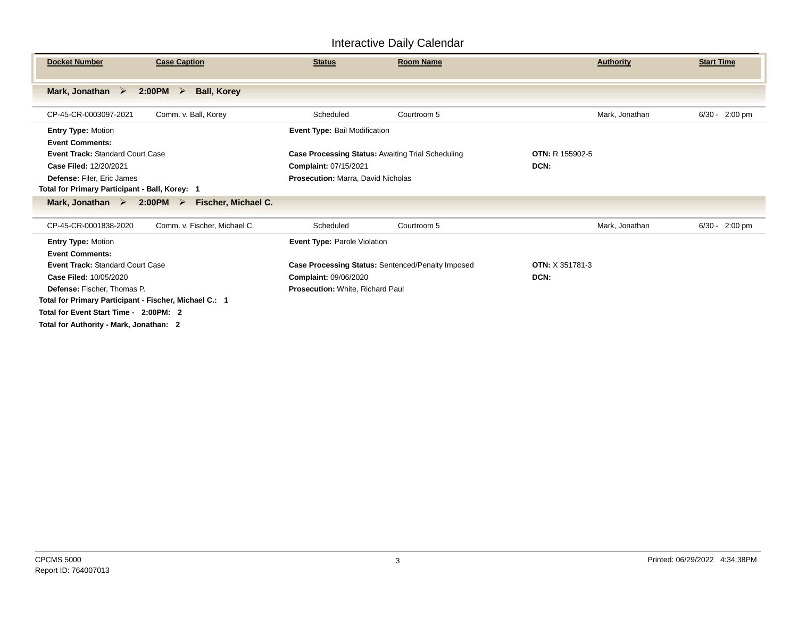| <b>Case Caption</b><br><b>Docket Number</b>                                                                                                                                                       |                              | <b>Status</b>                                                                                                                                            | <b>Room Name</b> |                                | <b>Authority</b> | <b>Start Time</b>     |
|---------------------------------------------------------------------------------------------------------------------------------------------------------------------------------------------------|------------------------------|----------------------------------------------------------------------------------------------------------------------------------------------------------|------------------|--------------------------------|------------------|-----------------------|
| Mark, Jonathan $\triangleright$<br>$2:00PM$ $\geq$                                                                                                                                                | <b>Ball, Korey</b>           |                                                                                                                                                          |                  |                                |                  |                       |
| Comm. v. Ball, Korey<br>CP-45-CR-0003097-2021                                                                                                                                                     |                              | Scheduled                                                                                                                                                | Courtroom 5      |                                | Mark, Jonathan   | $6/30 -$<br>$2:00$ pm |
| <b>Entry Type: Motion</b><br><b>Event Comments:</b><br>Event Track: Standard Court Case<br>Case Filed: 12/20/2021<br>Defense: Filer, Eric James<br>Total for Primary Participant - Ball, Korey: 1 |                              | Event Type: Bail Modification<br><b>Case Processing Status: Awaiting Trial Scheduling</b><br>Complaint: 07/15/2021<br>Prosecution: Marra, David Nicholas |                  | <b>OTN: R 155902-5</b><br>DCN: |                  |                       |
| $2:00PM$ ><br>Mark, Jonathan $\triangleright$                                                                                                                                                     | Fischer, Michael C.          |                                                                                                                                                          |                  |                                |                  |                       |
| CP-45-CR-0001838-2020                                                                                                                                                                             | Comm. v. Fischer, Michael C. | Scheduled                                                                                                                                                | Courtroom 5      |                                | Mark, Jonathan   | $6/30 -$<br>$2:00$ pm |
| <b>Entry Type: Motion</b><br><b>Event Comments:</b>                                                                                                                                               |                              | Event Type: Parole Violation                                                                                                                             |                  |                                |                  |                       |
| <b>Event Track: Standard Court Case</b>                                                                                                                                                           |                              | Case Processing Status: Sentenced/Penalty Imposed                                                                                                        |                  | <b>OTN: X 351781-3</b>         |                  |                       |
| Case Filed: 10/05/2020                                                                                                                                                                            |                              | Complaint: 09/06/2020                                                                                                                                    |                  | DCN:                           |                  |                       |
| Defense: Fischer, Thomas P.                                                                                                                                                                       |                              | Prosecution: White, Richard Paul                                                                                                                         |                  |                                |                  |                       |
| Total for Primary Participant - Fischer, Michael C.: 1                                                                                                                                            |                              |                                                                                                                                                          |                  |                                |                  |                       |
| Total for Event Start Time - 2:00PM: 2                                                                                                                                                            |                              |                                                                                                                                                          |                  |                                |                  |                       |
| Total for Authority - Mark, Jonathan: 2                                                                                                                                                           |                              |                                                                                                                                                          |                  |                                |                  |                       |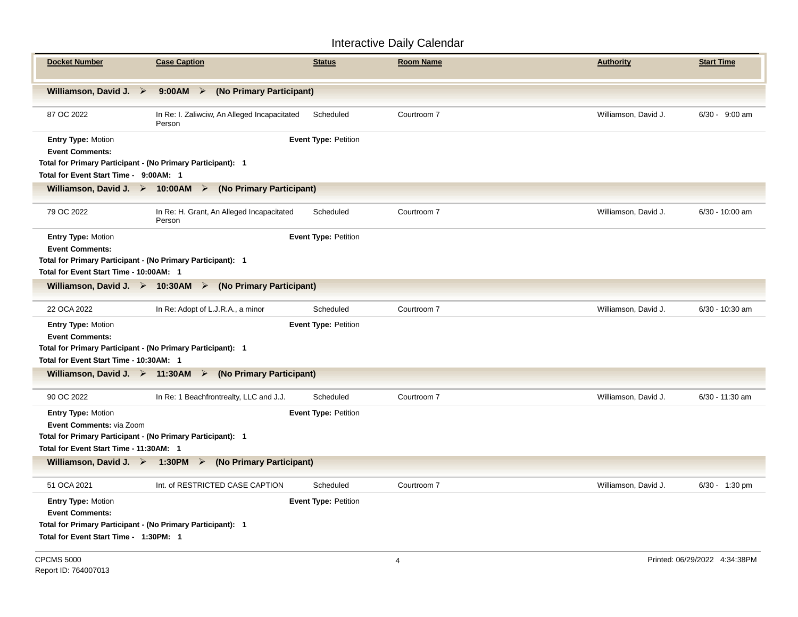| <b>Docket Number</b>                                                                                                                                                   | <b>Case Caption</b>                                                                     | <b>Status</b>               | <b>Room Name</b> | <b>Authority</b>     | <b>Start Time</b> |  |  |  |
|------------------------------------------------------------------------------------------------------------------------------------------------------------------------|-----------------------------------------------------------------------------------------|-----------------------------|------------------|----------------------|-------------------|--|--|--|
|                                                                                                                                                                        | Williamson, David J. ><br>$9:00AM$ ><br>(No Primary Participant)                        |                             |                  |                      |                   |  |  |  |
| 87 OC 2022                                                                                                                                                             | In Re: I. Zaliwciw, An Alleged Incapacitated<br>Person                                  | Scheduled                   | Courtroom 7      | Williamson, David J. | $6/30 - 9:00$ am  |  |  |  |
| <b>Entry Type: Motion</b><br><b>Event Comments:</b>                                                                                                                    | Event Type: Petition                                                                    |                             |                  |                      |                   |  |  |  |
| Total for Primary Participant - (No Primary Participant): 1<br>Total for Event Start Time - 9:00AM: 1                                                                  |                                                                                         |                             |                  |                      |                   |  |  |  |
|                                                                                                                                                                        | Williamson, David J. $\triangleright$ 10:00AM $\triangleright$ (No Primary Participant) |                             |                  |                      |                   |  |  |  |
|                                                                                                                                                                        |                                                                                         |                             |                  |                      |                   |  |  |  |
| 79 OC 2022                                                                                                                                                             | In Re: H. Grant, An Alleged Incapacitated<br>Person                                     | Scheduled                   | Courtroom 7      | Williamson, David J. | 6/30 - 10:00 am   |  |  |  |
| <b>Entry Type: Motion</b><br><b>Event Comments:</b>                                                                                                                    | <b>Event Type: Petition</b>                                                             |                             |                  |                      |                   |  |  |  |
| Total for Primary Participant - (No Primary Participant): 1                                                                                                            |                                                                                         |                             |                  |                      |                   |  |  |  |
| Total for Event Start Time - 10:00AM: 1                                                                                                                                |                                                                                         |                             |                  |                      |                   |  |  |  |
|                                                                                                                                                                        | Williamson, David J. $\triangleright$ 10:30AM $\triangleright$ (No Primary Participant) |                             |                  |                      |                   |  |  |  |
| 22 OCA 2022                                                                                                                                                            | In Re: Adopt of L.J.R.A., a minor                                                       | Scheduled                   | Courtroom 7      | Williamson, David J. | $6/30 - 10:30$ am |  |  |  |
| <b>Entry Type: Motion</b><br><b>Event Comments:</b><br>Total for Primary Participant - (No Primary Participant): 1                                                     |                                                                                         | <b>Event Type: Petition</b> |                  |                      |                   |  |  |  |
| Total for Event Start Time - 10:30AM: 1                                                                                                                                |                                                                                         |                             |                  |                      |                   |  |  |  |
|                                                                                                                                                                        | Williamson, David J. $\triangleright$ 11:30AM $\triangleright$ (No Primary Participant) |                             |                  |                      |                   |  |  |  |
| 90 OC 2022                                                                                                                                                             | In Re: 1 Beachfrontrealty, LLC and J.J.                                                 | Scheduled                   | Courtroom 7      | Williamson, David J. | $6/30 - 11:30$ am |  |  |  |
| <b>Entry Type: Motion</b><br><b>Event Comments: via Zoom</b><br>Total for Primary Participant - (No Primary Participant): 1<br>Total for Event Start Time - 11:30AM: 1 |                                                                                         | <b>Event Type: Petition</b> |                  |                      |                   |  |  |  |
|                                                                                                                                                                        | Williamson, David J. $\triangleright$ 1:30PM $\triangleright$ (No Primary Participant)  |                             |                  |                      |                   |  |  |  |
| 51 OCA 2021                                                                                                                                                            | Int. of RESTRICTED CASE CAPTION                                                         | Scheduled                   | Courtroom 7      | Williamson, David J. | 6/30 - 1:30 pm    |  |  |  |
| <b>Entry Type: Motion</b><br><b>Event Comments:</b><br>Total for Primary Participant - (No Primary Participant): 1<br>Total for Event Start Time - 1:30PM: 1           |                                                                                         | <b>Event Type: Petition</b> |                  |                      |                   |  |  |  |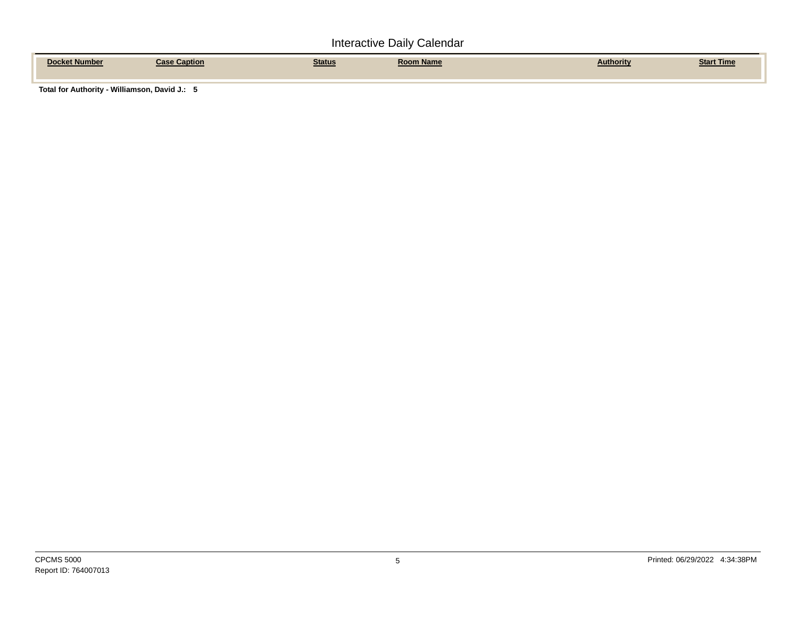| <b>Number</b><br>$\mathbf{a}$ | Caption<br><b>Paco</b> | <b>Status</b> | Room Name | Authoritv | <u> Start Time</u> |
|-------------------------------|------------------------|---------------|-----------|-----------|--------------------|
|                               |                        |               |           |           |                    |

**Total for Authority - Williamson, David J.: 5**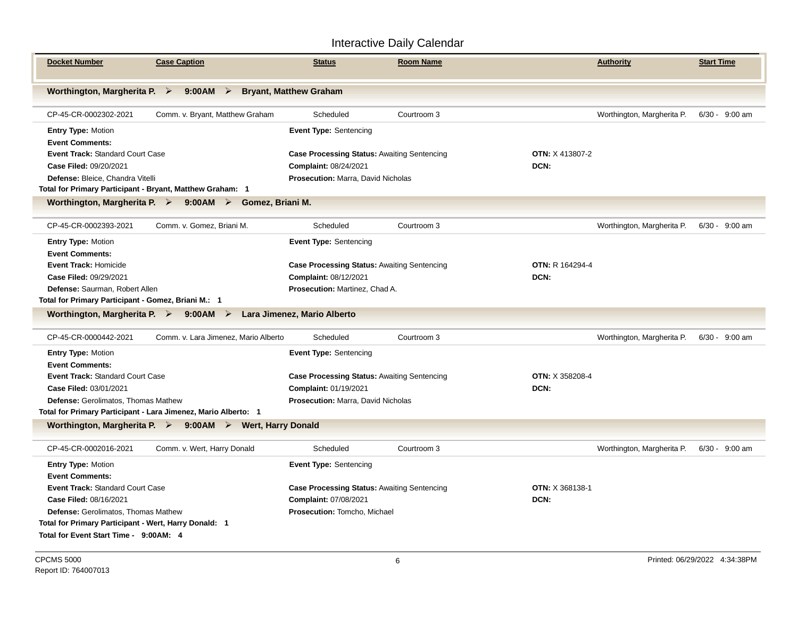| <b>Docket Number</b>                                                                                  | <b>Case Caption</b>                                                                   | <b>Status</b>                                      | <b>Room Name</b> |                        | <b>Authority</b>           | <b>Start Time</b> |  |  |
|-------------------------------------------------------------------------------------------------------|---------------------------------------------------------------------------------------|----------------------------------------------------|------------------|------------------------|----------------------------|-------------------|--|--|
| Worthington, Margherita P. $\triangleright$                                                           | $9:00AM$ >                                                                            | <b>Bryant, Matthew Graham</b>                      |                  |                        |                            |                   |  |  |
| CP-45-CR-0002302-2021                                                                                 | Comm. v. Bryant, Matthew Graham                                                       | Scheduled                                          | Courtroom 3      |                        | Worthington, Margherita P. | $6/30 - 9:00$ am  |  |  |
| <b>Entry Type: Motion</b>                                                                             |                                                                                       | <b>Event Type: Sentencing</b>                      |                  |                        |                            |                   |  |  |
| <b>Event Comments:</b>                                                                                |                                                                                       |                                                    |                  |                        |                            |                   |  |  |
| Event Track: Standard Court Case                                                                      |                                                                                       | <b>Case Processing Status: Awaiting Sentencing</b> |                  | <b>OTN: X 413807-2</b> |                            |                   |  |  |
| Case Filed: 09/20/2021                                                                                |                                                                                       | Complaint: 08/24/2021                              |                  | DCN:                   |                            |                   |  |  |
| Defense: Bleice, Chandra Vitelli                                                                      |                                                                                       | Prosecution: Marra, David Nicholas                 |                  |                        |                            |                   |  |  |
| Total for Primary Participant - Bryant, Matthew Graham: 1                                             |                                                                                       |                                                    |                  |                        |                            |                   |  |  |
|                                                                                                       | Worthington, Margherita P. $\triangleright$ 9:00 AM $\triangleright$ Gomez, Briani M. |                                                    |                  |                        |                            |                   |  |  |
| CP-45-CR-0002393-2021                                                                                 | Comm. v. Gomez, Briani M.                                                             | Scheduled                                          | Courtroom 3      |                        | Worthington, Margherita P. | $6/30 - 9:00$ am  |  |  |
| <b>Entry Type: Motion</b>                                                                             |                                                                                       | <b>Event Type: Sentencing</b>                      |                  |                        |                            |                   |  |  |
| <b>Event Comments:</b>                                                                                |                                                                                       |                                                    |                  |                        |                            |                   |  |  |
| <b>Event Track: Homicide</b>                                                                          |                                                                                       | Case Processing Status: Awaiting Sentencing        |                  | <b>OTN: R 164294-4</b> |                            |                   |  |  |
| Case Filed: 09/29/2021                                                                                |                                                                                       | Complaint: 08/12/2021                              |                  | DCN:                   |                            |                   |  |  |
| Defense: Saurman, Robert Allen                                                                        |                                                                                       | <b>Prosecution: Martinez, Chad A.</b>              |                  |                        |                            |                   |  |  |
| Total for Primary Participant - Gomez, Briani M.: 1                                                   |                                                                                       |                                                    |                  |                        |                            |                   |  |  |
| Worthington, Margherita P. $\triangleright$ 9:00 AM $\triangleright$                                  |                                                                                       | Lara Jimenez, Mario Alberto                        |                  |                        |                            |                   |  |  |
| CP-45-CR-0000442-2021                                                                                 | Comm. v. Lara Jimenez. Mario Alberto                                                  | Scheduled                                          | Courtroom 3      |                        | Worthington, Margherita P. | $6/30 - 9:00$ am  |  |  |
| <b>Entry Type: Motion</b>                                                                             |                                                                                       | <b>Event Type: Sentencing</b>                      |                  |                        |                            |                   |  |  |
| <b>Event Comments:</b>                                                                                |                                                                                       |                                                    |                  |                        |                            |                   |  |  |
| <b>Event Track: Standard Court Case</b>                                                               |                                                                                       | <b>Case Processing Status: Awaiting Sentencing</b> |                  | <b>OTN: X 358208-4</b> |                            |                   |  |  |
| Case Filed: 03/01/2021                                                                                |                                                                                       | Complaint: 01/19/2021                              |                  | DCN:                   |                            |                   |  |  |
| Defense: Gerolimatos, Thomas Mathew<br>Total for Primary Participant - Lara Jimenez, Mario Alberto: 1 |                                                                                       | Prosecution: Marra, David Nicholas                 |                  |                        |                            |                   |  |  |
| Worthington, Margherita P. $\triangleright$ 9:00 AM $\triangleright$                                  | <b>Wert, Harry Donald</b>                                                             |                                                    |                  |                        |                            |                   |  |  |
| CP-45-CR-0002016-2021                                                                                 | Comm. v. Wert, Harry Donald                                                           | Scheduled                                          | Courtroom 3      |                        | Worthington, Margherita P. | $6/30 - 9:00$ am  |  |  |
| <b>Entry Type: Motion</b>                                                                             |                                                                                       | <b>Event Type: Sentencing</b>                      |                  |                        |                            |                   |  |  |
| <b>Event Comments:</b>                                                                                |                                                                                       |                                                    |                  |                        |                            |                   |  |  |
| <b>Event Track: Standard Court Case</b>                                                               |                                                                                       | <b>Case Processing Status: Awaiting Sentencing</b> |                  | <b>OTN: X 368138-1</b> |                            |                   |  |  |
| Case Filed: 08/16/2021                                                                                |                                                                                       | Complaint: 07/08/2021                              |                  | DCN:                   |                            |                   |  |  |
| Defense: Gerolimatos, Thomas Mathew                                                                   |                                                                                       | Prosecution: Tomcho, Michael                       |                  |                        |                            |                   |  |  |
| Total for Primary Participant - Wert, Harry Donald: 1                                                 |                                                                                       |                                                    |                  |                        |                            |                   |  |  |
| Total for Event Start Time - 9:00AM: 4                                                                |                                                                                       |                                                    |                  |                        |                            |                   |  |  |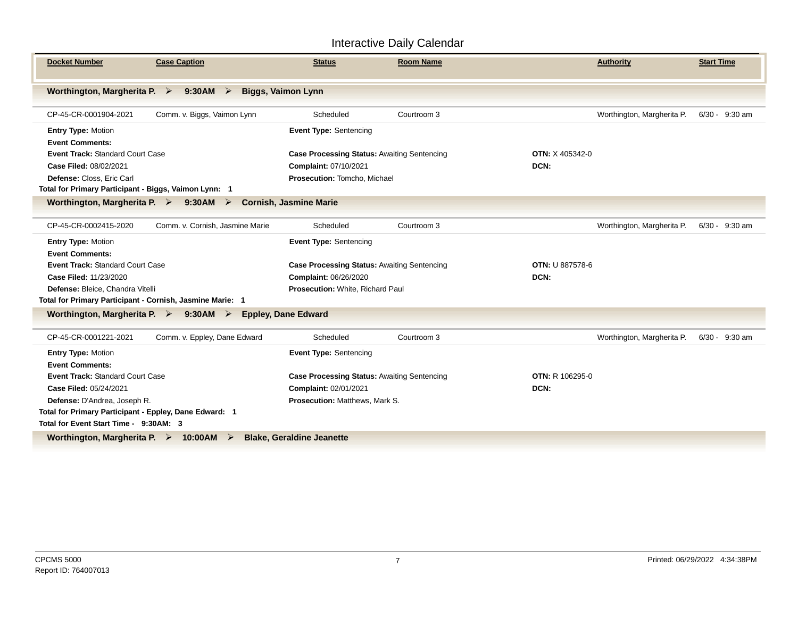| <b>Docket Number</b>                                                  | <b>Case Caption</b>                                   | <b>Status</b>                                      | <b>Room Name</b> |                        | <b>Authority</b>           | <b>Start Time</b> |                  |  |  |
|-----------------------------------------------------------------------|-------------------------------------------------------|----------------------------------------------------|------------------|------------------------|----------------------------|-------------------|------------------|--|--|
| Worthington, Margherita P. $\triangleright$                           | $9:30AM$ ><br><b>Biggs, Vaimon Lynn</b>               |                                                    |                  |                        |                            |                   |                  |  |  |
| CP-45-CR-0001904-2021                                                 | Comm. v. Biggs, Vaimon Lynn                           | Scheduled                                          | Courtroom 3      |                        | Worthington, Margherita P. |                   | 6/30 - 9:30 am   |  |  |
| <b>Entry Type: Motion</b>                                             |                                                       | <b>Event Type: Sentencing</b>                      |                  |                        |                            |                   |                  |  |  |
| <b>Event Comments:</b>                                                |                                                       |                                                    |                  |                        |                            |                   |                  |  |  |
| <b>Event Track: Standard Court Case</b>                               |                                                       | <b>Case Processing Status: Awaiting Sentencing</b> |                  | <b>OTN: X 405342-0</b> |                            |                   |                  |  |  |
| Case Filed: 08/02/2021                                                |                                                       | Complaint: 07/10/2021                              |                  | DCN:                   |                            |                   |                  |  |  |
| Defense: Closs. Eric Carl                                             |                                                       | Prosecution: Tomcho, Michael                       |                  |                        |                            |                   |                  |  |  |
|                                                                       | Total for Primary Participant - Biggs, Vaimon Lynn: 1 |                                                    |                  |                        |                            |                   |                  |  |  |
| Worthington, Margherita P. $\triangleright$ 9:30 AM $\triangleright$  |                                                       | <b>Cornish, Jasmine Marie</b>                      |                  |                        |                            |                   |                  |  |  |
| CP-45-CR-0002415-2020                                                 | Comm. v. Cornish, Jasmine Marie                       | Scheduled                                          | Courtroom 3      |                        | Worthington, Margherita P. |                   | $6/30 - 9:30$ am |  |  |
| <b>Entry Type: Motion</b>                                             |                                                       | Event Type: Sentencing                             |                  |                        |                            |                   |                  |  |  |
| <b>Event Comments:</b>                                                |                                                       |                                                    |                  |                        |                            |                   |                  |  |  |
| Event Track: Standard Court Case                                      |                                                       | <b>Case Processing Status: Awaiting Sentencing</b> |                  | <b>OTN: U 887578-6</b> |                            |                   |                  |  |  |
| Case Filed: 11/23/2020                                                |                                                       | Complaint: 06/26/2020                              |                  | DCN:                   |                            |                   |                  |  |  |
| Defense: Bleice, Chandra Vitelli                                      |                                                       | Prosecution: White, Richard Paul                   |                  |                        |                            |                   |                  |  |  |
| Total for Primary Participant - Cornish, Jasmine Marie: 1             |                                                       |                                                    |                  |                        |                            |                   |                  |  |  |
| Worthington, Margherita P. $\triangleright$ 9:30 AM $\triangleright$  |                                                       | <b>Eppley, Dane Edward</b>                         |                  |                        |                            |                   |                  |  |  |
| CP-45-CR-0001221-2021                                                 | Comm. v. Eppley, Dane Edward                          | Scheduled                                          | Courtroom 3      |                        | Worthington, Margherita P. |                   | $6/30 - 9:30$ am |  |  |
| <b>Entry Type: Motion</b>                                             |                                                       | <b>Event Type: Sentencing</b>                      |                  |                        |                            |                   |                  |  |  |
| <b>Event Comments:</b>                                                |                                                       |                                                    |                  |                        |                            |                   |                  |  |  |
| <b>Event Track: Standard Court Case</b>                               |                                                       | <b>Case Processing Status: Awaiting Sentencing</b> |                  | <b>OTN: R 106295-0</b> |                            |                   |                  |  |  |
| Case Filed: 05/24/2021                                                |                                                       | Complaint: 02/01/2021                              |                  | DCN:                   |                            |                   |                  |  |  |
| Defense: D'Andrea, Joseph R.                                          |                                                       | <b>Prosecution: Matthews, Mark S.</b>              |                  |                        |                            |                   |                  |  |  |
| Total for Primary Participant - Eppley, Dane Edward: 1                |                                                       |                                                    |                  |                        |                            |                   |                  |  |  |
| Total for Event Start Time - 9:30AM: 3                                |                                                       |                                                    |                  |                        |                            |                   |                  |  |  |
| Worthington, Margherita P. $\triangleright$ 10:00 AM $\triangleright$ |                                                       | <b>Blake, Geraldine Jeanette</b>                   |                  |                        |                            |                   |                  |  |  |
|                                                                       |                                                       |                                                    |                  |                        |                            |                   |                  |  |  |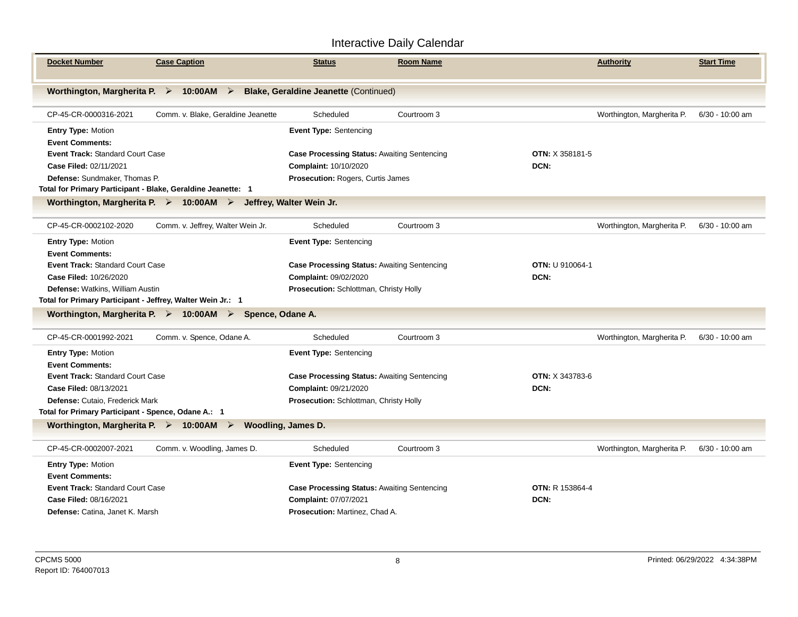| <b>Docket Number</b><br><b>Case Caption</b>                                                   |                                    | <b>Status</b>                                      | <b>Room Name</b> |                        | <b>Authority</b>           | <b>Start Time</b> |  |  |
|-----------------------------------------------------------------------------------------------|------------------------------------|----------------------------------------------------|------------------|------------------------|----------------------------|-------------------|--|--|
| Worthington, Margherita P. > 10:00AM > Blake, Geraldine Jeanette (Continued)                  |                                    |                                                    |                  |                        |                            |                   |  |  |
| CP-45-CR-0000316-2021                                                                         | Comm. v. Blake, Geraldine Jeanette | Scheduled                                          | Courtroom 3      |                        | Worthington, Margherita P. | $6/30 - 10:00$ am |  |  |
| Entry Type: Motion                                                                            |                                    | <b>Event Type: Sentencing</b>                      |                  |                        |                            |                   |  |  |
| <b>Event Comments:</b>                                                                        |                                    |                                                    |                  |                        |                            |                   |  |  |
| Event Track: Standard Court Case                                                              |                                    | <b>Case Processing Status: Awaiting Sentencing</b> |                  | <b>OTN: X 358181-5</b> |                            |                   |  |  |
| Case Filed: 02/11/2021                                                                        |                                    | Complaint: 10/10/2020                              |                  | DCN:                   |                            |                   |  |  |
| Defense: Sundmaker, Thomas P.                                                                 |                                    | <b>Prosecution: Rogers, Curtis James</b>           |                  |                        |                            |                   |  |  |
| Total for Primary Participant - Blake, Geraldine Jeanette: 1                                  |                                    |                                                    |                  |                        |                            |                   |  |  |
| Worthington, Margherita P. $\triangleright$ 10:00AM $\triangleright$ Jeffrey, Walter Wein Jr. |                                    |                                                    |                  |                        |                            |                   |  |  |
| Comm. v. Jeffrey, Walter Wein Jr.<br>CP-45-CR-0002102-2020                                    |                                    | Scheduled                                          | Courtroom 3      |                        | Worthington, Margherita P. | $6/30 - 10:00$ am |  |  |
| <b>Entry Type: Motion</b>                                                                     |                                    | <b>Event Type: Sentencing</b>                      |                  |                        |                            |                   |  |  |
| <b>Event Comments:</b>                                                                        |                                    |                                                    |                  |                        |                            |                   |  |  |
| Event Track: Standard Court Case                                                              |                                    | <b>Case Processing Status: Awaiting Sentencing</b> |                  | <b>OTN: U 910064-1</b> |                            |                   |  |  |
| Case Filed: 10/26/2020                                                                        |                                    | Complaint: 09/02/2020                              |                  | DCN:                   |                            |                   |  |  |
| Defense: Watkins, William Austin                                                              |                                    | Prosecution: Schlottman, Christy Holly             |                  |                        |                            |                   |  |  |
| Total for Primary Participant - Jeffrey, Walter Wein Jr.: 1                                   |                                    |                                                    |                  |                        |                            |                   |  |  |
| Worthington, Margherita P. > 10:00AM > Spence, Odane A.                                       |                                    |                                                    |                  |                        |                            |                   |  |  |
| Comm. v. Spence, Odane A.<br>CP-45-CR-0001992-2021                                            |                                    | Scheduled                                          | Courtroom 3      |                        | Worthington, Margherita P. | 6/30 - 10:00 am   |  |  |
| <b>Entry Type: Motion</b>                                                                     |                                    | <b>Event Type: Sentencing</b>                      |                  |                        |                            |                   |  |  |
| <b>Event Comments:</b>                                                                        |                                    |                                                    |                  |                        |                            |                   |  |  |
| <b>Event Track: Standard Court Case</b>                                                       |                                    | <b>Case Processing Status: Awaiting Sentencing</b> |                  | <b>OTN: X 343783-6</b> |                            |                   |  |  |
| Case Filed: 08/13/2021                                                                        |                                    | Complaint: 09/21/2020                              |                  | DCN:                   |                            |                   |  |  |
| Defense: Cutaio, Frederick Mark                                                               |                                    | Prosecution: Schlottman, Christy Holly             |                  |                        |                            |                   |  |  |
| Total for Primary Participant - Spence, Odane A.: 1                                           |                                    |                                                    |                  |                        |                            |                   |  |  |
| Worthington, Margherita P. $\triangleright$ 10:00AM $\triangleright$ Woodling, James D.       |                                    |                                                    |                  |                        |                            |                   |  |  |
| Comm. v. Woodling, James D.<br>CP-45-CR-0002007-2021                                          |                                    | Scheduled                                          | Courtroom 3      |                        | Worthington, Margherita P. | 6/30 - 10:00 am   |  |  |
| <b>Entry Type: Motion</b>                                                                     |                                    | <b>Event Type: Sentencing</b>                      |                  |                        |                            |                   |  |  |
| <b>Event Comments:</b>                                                                        |                                    |                                                    |                  |                        |                            |                   |  |  |
| <b>Event Track: Standard Court Case</b>                                                       |                                    | <b>Case Processing Status: Awaiting Sentencing</b> |                  | <b>OTN: R 153864-4</b> |                            |                   |  |  |
| Case Filed: 08/16/2021                                                                        |                                    | Complaint: 07/07/2021                              |                  | DCN:                   |                            |                   |  |  |
| Defense: Catina, Janet K. Marsh                                                               |                                    | <b>Prosecution: Martinez, Chad A.</b>              |                  |                        |                            |                   |  |  |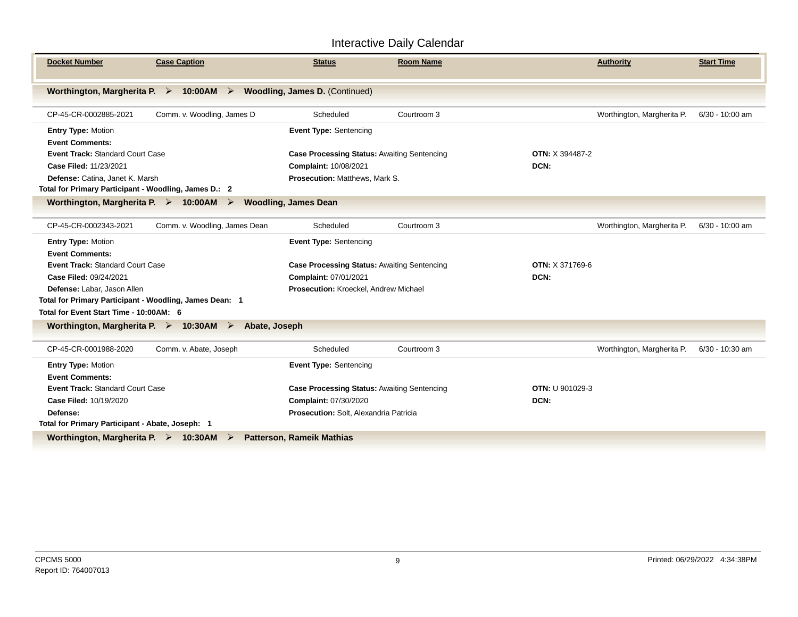| <b>Docket Number</b><br><b>Case Caption</b>                                           | <b>Status</b>                                      | <b>Room Name</b> |                        | <b>Authority</b>           | <b>Start Time</b> |  |  |  |  |
|---------------------------------------------------------------------------------------|----------------------------------------------------|------------------|------------------------|----------------------------|-------------------|--|--|--|--|
| Worthington, Margherita P. $\triangleright$ 10:00 AM $\triangleright$                 | <b>Woodling, James D. (Continued)</b>              |                  |                        |                            |                   |  |  |  |  |
|                                                                                       |                                                    |                  |                        |                            |                   |  |  |  |  |
| Comm. v. Woodling, James D<br>CP-45-CR-0002885-2021                                   | Scheduled                                          | Courtroom 3      |                        | Worthington, Margherita P. | $6/30 - 10:00$ am |  |  |  |  |
| Entry Type: Motion                                                                    | Event Type: Sentencing                             |                  |                        |                            |                   |  |  |  |  |
| <b>Event Comments:</b>                                                                |                                                    |                  |                        |                            |                   |  |  |  |  |
| <b>Event Track: Standard Court Case</b>                                               | <b>Case Processing Status: Awaiting Sentencing</b> |                  | OTN: X 394487-2        |                            |                   |  |  |  |  |
| Case Filed: 11/23/2021                                                                | Complaint: 10/08/2021                              |                  | DCN:                   |                            |                   |  |  |  |  |
| Defense: Catina, Janet K. Marsh                                                       | Prosecution: Matthews, Mark S.                     |                  |                        |                            |                   |  |  |  |  |
| Total for Primary Participant - Woodling, James D.: 2                                 |                                                    |                  |                        |                            |                   |  |  |  |  |
| Worthington, Margherita P. $\triangleright$ 10:00 AM $\triangleright$                 | <b>Woodling, James Dean</b>                        |                  |                        |                            |                   |  |  |  |  |
|                                                                                       |                                                    |                  |                        |                            |                   |  |  |  |  |
| CP-45-CR-0002343-2021<br>Comm. v. Woodling, James Dean                                | Scheduled                                          | Courtroom 3      |                        | Worthington, Margherita P. | 6/30 - 10:00 am   |  |  |  |  |
| Entry Type: Motion                                                                    | <b>Event Type: Sentencing</b>                      |                  |                        |                            |                   |  |  |  |  |
| <b>Event Comments:</b>                                                                |                                                    |                  |                        |                            |                   |  |  |  |  |
| Event Track: Standard Court Case                                                      | Case Processing Status: Awaiting Sentencing        |                  | <b>OTN: X 371769-6</b> |                            |                   |  |  |  |  |
| Case Filed: 09/24/2021                                                                | Complaint: 07/01/2021                              |                  | DCN:                   |                            |                   |  |  |  |  |
| Defense: Labar, Jason Allen                                                           | Prosecution: Kroeckel, Andrew Michael              |                  |                        |                            |                   |  |  |  |  |
| Total for Primary Participant - Woodling, James Dean: 1                               |                                                    |                  |                        |                            |                   |  |  |  |  |
| Total for Event Start Time - 10:00AM: 6                                               |                                                    |                  |                        |                            |                   |  |  |  |  |
| Worthington, Margherita P. $\triangleright$ 10:30AM $\triangleright$<br>Abate, Joseph |                                                    |                  |                        |                            |                   |  |  |  |  |
|                                                                                       |                                                    |                  |                        |                            |                   |  |  |  |  |
| CP-45-CR-0001988-2020<br>Comm. v. Abate, Joseph                                       | Scheduled                                          | Courtroom 3      |                        | Worthington, Margherita P. | $6/30 - 10:30$ am |  |  |  |  |
| Entry Type: Motion                                                                    | <b>Event Type: Sentencing</b>                      |                  |                        |                            |                   |  |  |  |  |
| <b>Event Comments:</b>                                                                |                                                    |                  |                        |                            |                   |  |  |  |  |
| <b>Event Track: Standard Court Case</b>                                               | Case Processing Status: Awaiting Sentencing        |                  | <b>OTN: U 901029-3</b> |                            |                   |  |  |  |  |
| Case Filed: 10/19/2020                                                                | Complaint: 07/30/2020                              |                  | DCN:                   |                            |                   |  |  |  |  |
| Defense:                                                                              | Prosecution: Solt, Alexandria Patricia             |                  |                        |                            |                   |  |  |  |  |
| Total for Primary Participant - Abate, Joseph: 1                                      |                                                    |                  |                        |                            |                   |  |  |  |  |
| Worthington, Margherita P. $\triangleright$ 10:30AM<br>➤                              | <b>Patterson, Rameik Mathias</b>                   |                  |                        |                            |                   |  |  |  |  |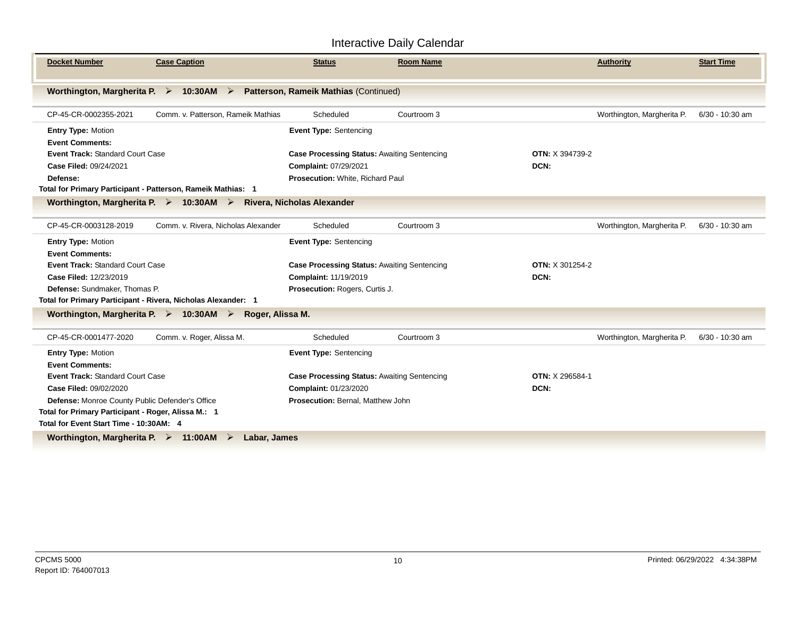| <b>Docket Number</b>                                                  | <b>Case Caption</b>                                                                             | <b>Status</b>                                      | <b>Room Name</b> |                        | <b>Authority</b>           | <b>Start Time</b> |
|-----------------------------------------------------------------------|-------------------------------------------------------------------------------------------------|----------------------------------------------------|------------------|------------------------|----------------------------|-------------------|
|                                                                       | Worthington, Margherita P. > 10:30AM > Patterson, Rameik Mathias (Continued)                    |                                                    |                  |                        |                            |                   |
| CP-45-CR-0002355-2021                                                 | Comm. v. Patterson. Rameik Mathias                                                              | Scheduled                                          | Courtroom 3      |                        | Worthington, Margherita P. | 6/30 - 10:30 am   |
| <b>Entry Type: Motion</b>                                             |                                                                                                 | Event Type: Sentencing                             |                  |                        |                            |                   |
| <b>Event Comments:</b>                                                |                                                                                                 |                                                    |                  |                        |                            |                   |
| <b>Event Track: Standard Court Case</b>                               |                                                                                                 | <b>Case Processing Status: Awaiting Sentencing</b> |                  | <b>OTN: X 394739-2</b> |                            |                   |
| Case Filed: 09/24/2021                                                |                                                                                                 | Complaint: 07/29/2021                              |                  | DCN:                   |                            |                   |
| Defense:                                                              |                                                                                                 | Prosecution: White, Richard Paul                   |                  |                        |                            |                   |
| Total for Primary Participant - Patterson, Rameik Mathias: 1          |                                                                                                 |                                                    |                  |                        |                            |                   |
|                                                                       | Worthington, Margherita P. $\triangleright$ 10:30AM $\triangleright$ Rivera, Nicholas Alexander |                                                    |                  |                        |                            |                   |
| CP-45-CR-0003128-2019                                                 | Comm. v. Rivera, Nicholas Alexander                                                             | Scheduled                                          | Courtroom 3      |                        | Worthington, Margherita P. | 6/30 - 10:30 am   |
| Entry Type: Motion                                                    |                                                                                                 | <b>Event Type: Sentencing</b>                      |                  |                        |                            |                   |
| <b>Event Comments:</b>                                                |                                                                                                 |                                                    |                  |                        |                            |                   |
| <b>Event Track: Standard Court Case</b>                               |                                                                                                 | <b>Case Processing Status: Awaiting Sentencing</b> |                  | <b>OTN: X 301254-2</b> |                            |                   |
| Case Filed: 12/23/2019                                                |                                                                                                 | Complaint: 11/19/2019                              |                  | DCN:                   |                            |                   |
| <b>Defense:</b> Sundmaker, Thomas P.                                  |                                                                                                 | Prosecution: Rogers, Curtis J.                     |                  |                        |                            |                   |
| Total for Primary Participant - Rivera, Nicholas Alexander: 1         |                                                                                                 |                                                    |                  |                        |                            |                   |
|                                                                       | Worthington, Margherita P. $\triangleright$ 10:30AM $\triangleright$ Roger, Alissa M.           |                                                    |                  |                        |                            |                   |
| CP-45-CR-0001477-2020                                                 | Comm. v. Roger, Alissa M.                                                                       | Scheduled                                          | Courtroom 3      |                        | Worthington, Margherita P. | 6/30 - 10:30 am   |
| <b>Entry Type: Motion</b>                                             |                                                                                                 | <b>Event Type: Sentencing</b>                      |                  |                        |                            |                   |
| <b>Event Comments:</b>                                                |                                                                                                 |                                                    |                  |                        |                            |                   |
| <b>Event Track: Standard Court Case</b>                               |                                                                                                 | <b>Case Processing Status: Awaiting Sentencing</b> |                  | OTN: X 296584-1        |                            |                   |
| Case Filed: 09/02/2020                                                |                                                                                                 | Complaint: 01/23/2020                              |                  | DCN:                   |                            |                   |
| Defense: Monroe County Public Defender's Office                       |                                                                                                 | Prosecution: Bernal, Matthew John                  |                  |                        |                            |                   |
| Total for Primary Participant - Roger, Alissa M.: 1                   |                                                                                                 |                                                    |                  |                        |                            |                   |
| Total for Event Start Time - 10:30AM: 4                               |                                                                                                 |                                                    |                  |                        |                            |                   |
| Worthington, Margherita P. $\triangleright$ 11:00 AM $\triangleright$ | Labar, James                                                                                    |                                                    |                  |                        |                            |                   |
|                                                                       |                                                                                                 |                                                    |                  |                        |                            |                   |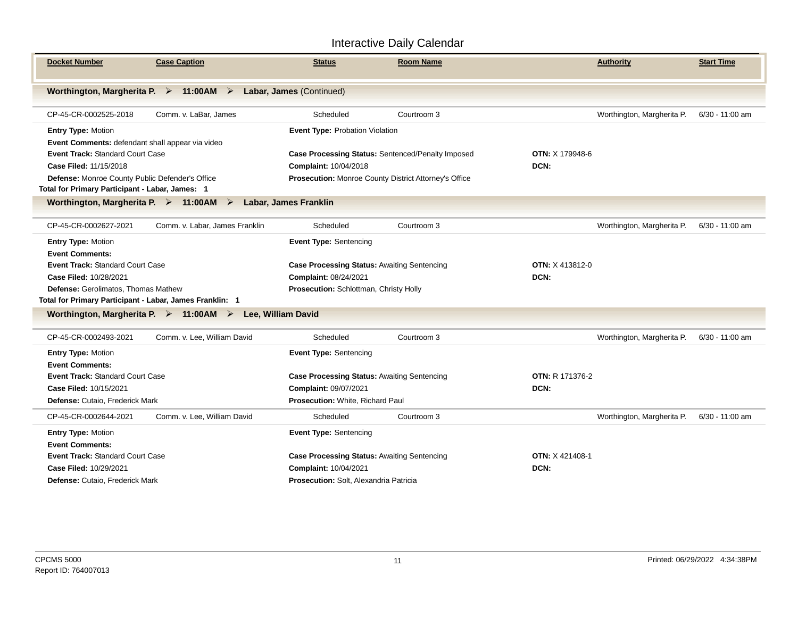| <b>Docket Number</b>                                                                                  | <b>Case Caption</b>            | Status                                                           | <b>Room Name</b> |                        | <b>Authority</b>           | <b>Start Time</b> |
|-------------------------------------------------------------------------------------------------------|--------------------------------|------------------------------------------------------------------|------------------|------------------------|----------------------------|-------------------|
| Worthington, Margherita P. $\triangleright$ 11:00AM $\triangleright$                                  |                                | Labar, James (Continued)                                         |                  |                        |                            |                   |
| CP-45-CR-0002525-2018                                                                                 | Comm. v. LaBar, James          | Scheduled                                                        | Courtroom 3      |                        | Worthington, Margherita P. | $6/30 - 11:00$ am |
| <b>Entry Type: Motion</b>                                                                             |                                | Event Type: Probation Violation                                  |                  |                        |                            |                   |
| Event Comments: defendant shall appear via video<br><b>Event Track: Standard Court Case</b>           |                                | Case Processing Status: Sentenced/Penalty Imposed                |                  | <b>OTN: X 179948-6</b> |                            |                   |
| Case Filed: 11/15/2018                                                                                |                                | Complaint: 10/04/2018                                            |                  | DCN:                   |                            |                   |
| Defense: Monroe County Public Defender's Office<br>Total for Primary Participant - Labar, James: 1    |                                | Prosecution: Monroe County District Attorney's Office            |                  |                        |                            |                   |
| Worthington, Margherita P. $\triangleright$ 11:00 AM $\triangleright$<br><b>Labar, James Franklin</b> |                                |                                                                  |                  |                        |                            |                   |
| CP-45-CR-0002627-2021                                                                                 | Comm. v. Labar, James Franklin | Scheduled                                                        | Courtroom 3      |                        | Worthington, Margherita P. | 6/30 - 11:00 am   |
| <b>Entry Type: Motion</b>                                                                             |                                | <b>Event Type: Sentencing</b>                                    |                  |                        |                            |                   |
| <b>Event Comments:</b>                                                                                |                                |                                                                  |                  |                        |                            |                   |
| <b>Event Track: Standard Court Case</b>                                                               |                                | <b>Case Processing Status: Awaiting Sentencing</b>               |                  | <b>OTN: X 413812-0</b> |                            |                   |
| Case Filed: 10/28/2021                                                                                |                                | Complaint: 08/24/2021                                            |                  | DCN:                   |                            |                   |
| Defense: Gerolimatos, Thomas Mathew<br>Total for Primary Participant - Labar, James Franklin: 1       |                                | Prosecution: Schlottman, Christy Holly                           |                  |                        |                            |                   |
| Worthington, Margherita P. $\triangleright$ 11:00 AM $\triangleright$                                 | Lee, William David             |                                                                  |                  |                        |                            |                   |
|                                                                                                       |                                |                                                                  |                  |                        |                            |                   |
| CP-45-CR-0002493-2021                                                                                 | Comm. v. Lee, William David    | Scheduled                                                        | Courtroom 3      |                        | Worthington, Margherita P. | 6/30 - 11:00 am   |
| <b>Entry Type: Motion</b>                                                                             |                                | <b>Event Type: Sentencing</b>                                    |                  |                        |                            |                   |
| <b>Event Comments:</b>                                                                                |                                |                                                                  |                  |                        |                            |                   |
| Event Track: Standard Court Case                                                                      |                                | <b>Case Processing Status: Awaiting Sentencing</b>               |                  | <b>OTN: R 171376-2</b> |                            |                   |
| Case Filed: 10/15/2021                                                                                |                                | Complaint: 09/07/2021<br><b>Prosecution: White, Richard Paul</b> |                  | DCN:                   |                            |                   |
| <b>Defense: Cutaio. Frederick Mark</b>                                                                |                                |                                                                  |                  |                        |                            |                   |
| CP-45-CR-0002644-2021                                                                                 | Comm. v. Lee, William David    | Scheduled                                                        | Courtroom 3      |                        | Worthington, Margherita P. | $6/30 - 11:00$ am |
| <b>Entry Type: Motion</b>                                                                             |                                | <b>Event Type: Sentencing</b>                                    |                  |                        |                            |                   |
| <b>Event Comments:</b>                                                                                |                                |                                                                  |                  |                        |                            |                   |
| Event Track: Standard Court Case                                                                      |                                | <b>Case Processing Status: Awaiting Sentencing</b>               |                  | <b>OTN: X 421408-1</b> |                            |                   |
| Case Filed: 10/29/2021                                                                                |                                | Complaint: 10/04/2021                                            |                  | DCN:                   |                            |                   |
| Defense: Cutaio, Frederick Mark                                                                       |                                | Prosecution: Solt, Alexandria Patricia                           |                  |                        |                            |                   |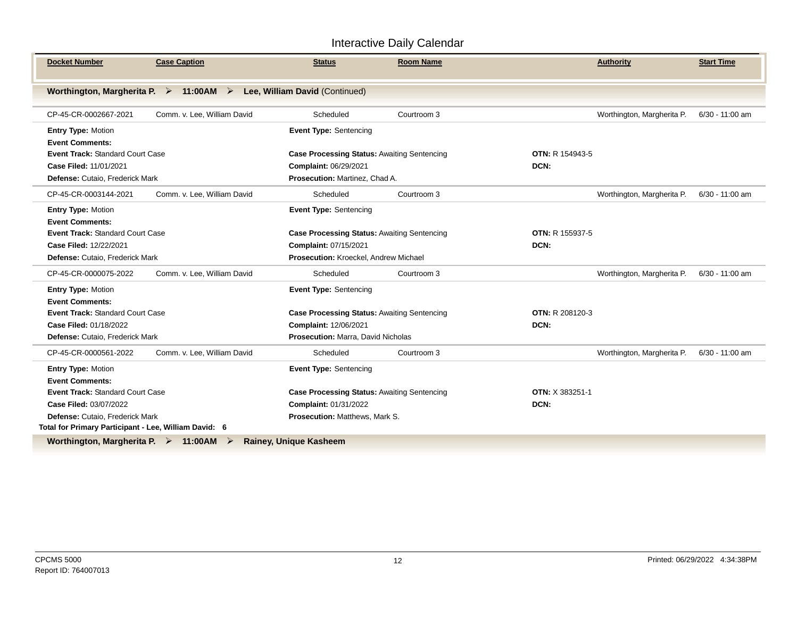| <b>Docket Number</b>                                                  | <b>Case Caption</b>         | <b>Status</b>                                      | <b>Room Name</b> |                        | <b>Authority</b>           | <b>Start Time</b> |
|-----------------------------------------------------------------------|-----------------------------|----------------------------------------------------|------------------|------------------------|----------------------------|-------------------|
| Worthington, Margherita P. $\triangleright$ 11:00 AM $\triangleright$ |                             | Lee, William David (Continued)                     |                  |                        |                            |                   |
| CP-45-CR-0002667-2021                                                 | Comm. v. Lee, William David | Scheduled                                          | Courtroom 3      |                        | Worthington, Margherita P. | 6/30 - 11:00 am   |
| Entry Type: Motion                                                    |                             | Event Type: Sentencing                             |                  |                        |                            |                   |
| <b>Event Comments:</b>                                                |                             |                                                    |                  |                        |                            |                   |
| <b>Event Track: Standard Court Case</b>                               |                             | <b>Case Processing Status: Awaiting Sentencing</b> |                  | <b>OTN: R 154943-5</b> |                            |                   |
| Case Filed: 11/01/2021                                                |                             | Complaint: 06/29/2021                              |                  | DCN:                   |                            |                   |
| Defense: Cutaio, Frederick Mark                                       |                             | Prosecution: Martinez, Chad A.                     |                  |                        |                            |                   |
| CP-45-CR-0003144-2021                                                 | Comm. v. Lee, William David | Scheduled                                          | Courtroom 3      |                        | Worthington, Margherita P. | 6/30 - 11:00 am   |
| <b>Entry Type: Motion</b>                                             |                             | <b>Event Type: Sentencing</b>                      |                  |                        |                            |                   |
| <b>Event Comments:</b>                                                |                             |                                                    |                  |                        |                            |                   |
| <b>Event Track: Standard Court Case</b>                               |                             | <b>Case Processing Status: Awaiting Sentencing</b> |                  | <b>OTN: R 155937-5</b> |                            |                   |
| Case Filed: 12/22/2021                                                |                             | Complaint: 07/15/2021                              |                  | DCN:                   |                            |                   |
| Defense: Cutaio, Frederick Mark                                       |                             | Prosecution: Kroeckel, Andrew Michael              |                  |                        |                            |                   |
| CP-45-CR-0000075-2022                                                 | Comm. v. Lee, William David | Scheduled                                          | Courtroom 3      |                        | Worthington, Margherita P. | 6/30 - 11:00 am   |
| Entry Type: Motion                                                    |                             | <b>Event Type: Sentencing</b>                      |                  |                        |                            |                   |
| <b>Event Comments:</b>                                                |                             |                                                    |                  |                        |                            |                   |
| Event Track: Standard Court Case                                      |                             | <b>Case Processing Status: Awaiting Sentencing</b> |                  | <b>OTN: R 208120-3</b> |                            |                   |
| Case Filed: 01/18/2022                                                |                             | Complaint: 12/06/2021                              |                  | DCN:                   |                            |                   |
| Defense: Cutaio, Frederick Mark                                       |                             | Prosecution: Marra, David Nicholas                 |                  |                        |                            |                   |
| CP-45-CR-0000561-2022                                                 | Comm. v. Lee, William David | Scheduled                                          | Courtroom 3      |                        | Worthington, Margherita P. | 6/30 - 11:00 am   |
| <b>Entry Type: Motion</b>                                             |                             | <b>Event Type: Sentencing</b>                      |                  |                        |                            |                   |
| <b>Event Comments:</b>                                                |                             |                                                    |                  |                        |                            |                   |
| <b>Event Track: Standard Court Case</b>                               |                             | <b>Case Processing Status: Awaiting Sentencing</b> |                  | <b>OTN: X 383251-1</b> |                            |                   |
| Case Filed: 03/07/2022                                                |                             | Complaint: 01/31/2022                              |                  | DCN:                   |                            |                   |
| Defense: Cutaio, Frederick Mark                                       |                             | Prosecution: Matthews, Mark S.                     |                  |                        |                            |                   |
| Total for Primary Participant - Lee, William David: 6                 |                             |                                                    |                  |                        |                            |                   |
| Worthington Margherita $P \geq 41.00$ AM $\geq$                       |                             | Rainey Ilnigue Kacheem                             |                  |                        |                            |                   |

**Worthington, Margherita P. 11:00AM Rainey, Unique Kasheem**